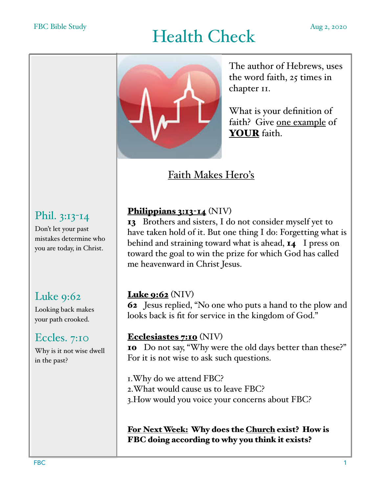# Health Check Aug 2, 2020



The author of Hebrews, uses the word faith, 25 times in chapter II.

What is your definition of faith? Give one example of YOUR faith.

Faith Makes Hero's

## Phil. 3:13-14

Don't let your past mistakes determine who you are today, in Christ.

## Luke 9:62

Looking back makes your path crooked.

## Eccles. 7:10

Why is it not wise dwell in the past?

#### Philippians 3:13-14 (NIV)

13 Brothers and sisters, I do not consider myself yet to have taken hold of it. But one thing I do: Forgetting what is behind and straining toward what is ahead, **14** I press on toward the goal to win the prize for which God has called me heavenward in Christ Jesus.

#### Luke 9:62 (NIV)

62 Jesus replied, "No one who puts a hand to the plow and looks back is fit for service in the kingdom of God."

#### Ecclesiastes 7:10 (NIV)

10 Do not say, "Why were the old days better than these?" For it is not wise to ask such questions.

1.Why do we attend FBC? 2.What would cause us to leave FBC? 3.How would you voice your concerns about FBC?

For Next Week: Why does the Church exist? How is FBC doing according to why you think it exists?